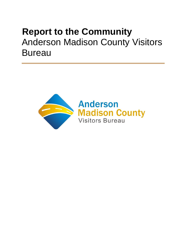# **Report to the Community** Anderson Madison County Visitors **Bureau**

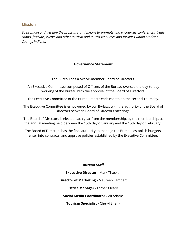## **Mission**

*To promote and develop the programs and means to promote and encourage conferences, trade shows, festivals, events and other tourism and tourist resources and facilities within Madison County, Indiana.* 

## **Governance Statement**

The Bureau has a twelve-member Board of Directors.

An Executive Committee composed of Officers of the Bureau oversee the day-to-day working of the Bureau with the approval of the Board of Directors.

The Executive Committee of the Bureau meets each month on the second Thursday.

The Executive Committee is empowered by our By-laws with the authority of the Board of Directors between Board of Directors meetings.

The Board of Directors is elected each year from the membership, by the membership, at the annual meeting held between the 15th day of January and the 15th day of February.

The Board of Directors has the final authority to manage the Bureau, establish budgets, enter into contracts, and approve policies established by the Executive Committee.

## **Bureau Staff**

**Executive Director -** Mark Thacker **Director of Marketing -** [Maureen Lambert](mailto:maureen@visitamcvb.com) **Office Manager -** [Esther Cleary](mailto:esther@visitamcvb.com) **Social Media Coordinator -** Ali Adams **Tourism Specialist -** Cheryl Shank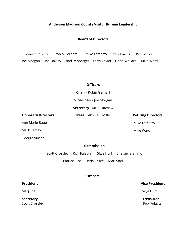## **Anderson Madison County Visitor Bureau Leadership**

## **Board of Directors**

Donovan Archer [Robin Gerhart](mailto:rlgerhart@yahoo.com) Mike Latchaw Patty Lovins Paul Miller Joe Morgan Lisa Oakley Chad Renbarger Terry Taylor Linda Wallace Mike Ward

## **[Officers](mailto:rlgerhart@yahoo.com)**

**Chair** - Robin Gerhart **Vice-Chair** - Joe Morgan **Secretary** - Mike Latchaw

**Honorary Directors** 

Ann Marie Bauer

[Mark Lamey](mailto:Windigo38@hotmail.com) 

## **Commission**

Scott Crossley Rick Fulaytar [Skye Hu](mailto:skye.thetrainer@gmail.com)ff Chelsie Jaramillo

Patrick Rice Darla Sallee Marj Shell

## **Officers**

## **President Vice President**

Marj Shell [Skye Huff](mailto:skye.thetrainer@gmail.com)

**Secretary Treasurer Treasurer** 

Scott Crossley **Rick Fulaytar** Rick Fulaytar

Mike Ward

Mike Latchaw

**Treasurer** - Paul Miller **Retiring Directors** 

George Vinson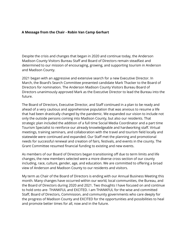## **A Message from the Chair - Robin Van Camp Gerhart**

Despite the crisis and changes that began in 2020 and continue today, the Anderson Madison County Visitors Bureau Staff and Board of Directors remain steadfast and determined to our mission of encouraging, growing, and supporting tourism in Anderson and Madison County.

2021 began with an aggressive and extensive search for a new Executive Director. In March, the Board's Search Committee presented candidate Mark Thacker to the Board of Directors for nomination. The Anderson Madison County Visitors Bureau Board of Directors unanimously approved Mark as the Executive Director to lead the Bureau into the future.

The Board of Directors, Executive Director, and Staff continued in a plan to be ready and ahead of a very cautious and apprehensive population that was anxious to resume a life that had been drastically changed by the pandemic. We expanded our vision to include not only the outside persons coming into Madison County, but also our residents. That strategic plan included the addition of a full time Social Media Coordinator and a part time Tourism Specialist to reinforce our already knowledgeable and hardworking staff. Virtual meetings, training seminars, and collaboration with the travel and tourism field locally and statewide were continued and expanded. Our Staff met the planning and promotional needs for successful renewal and creation of fairs, festivals, and events in the county. The Grant Committee resumed financial funding to existing and new events.

As members of our Board of Directors began transitioning off due to term limits and life changes, the new members selected were a more diverse cross section of our county including, race, culture, gender, age, and education. We are committed to offering a broad view of Anderson and Madison County to our residents and visitors.

My term as Chair of the Board of Directors is ending with our Annual Business Meeting this month. Many changes have occurred within our world, local communities, the Bureau, and the Board of Directors during 2020 and 2021. Two thoughts I have focused on and continue to hold onto are- THANKFUL and EXCITED. I am THANKFUL for the wise and committed Staff, Board of Directors, Commission, and community governments who care deeply for the progress of Madison County and EXCITED for the opportunities and possibilities to heal and promote better times for all, now and in the future.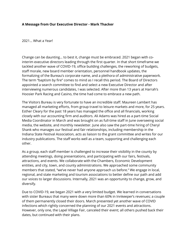## **A Message from Our Executive Director - Mark Thacker**

2021… What a Year!

Change can be daunting… to best it, change must be embraced. 2021 began with cointerim executive directors leading through the first quarter. In that short timeframe we tackled another wave of COVID-19, office building challenges, the reworking of budgets, staff morale, new board member orientation, personnel handbook updates, the formalizing of the Bureau's corporate name, and a plethora of administrative paperwork. The term "baptism by fire" comes to mind as I recall this period. The Board of Directors appointed a search committee to find and select a new Executive Director and after interviewing numerous candidates, I was selected. After more than 13 years at Harrah's Hoosier Park Racing and Casino, the time had come to embrace a new path.

The Visitors Bureau is very fortunate to have an incredible staff. Maureen Lambert has managed all marketing efforts, from group travel to leisure markets and more, for 25 years. Esther Cleary for the past 18 years has managed the office and all financials, working closely with our accounting firm and auditors. Ali Adams was hired as a part-time Social Media Coordinator in March and was brought on as full-time staff in June overseeing social media, the website, and monthly newsletter. June also saw the part-time hiring of Cheryl Shank who manages our festival and fair relationships, including membership in the Indiana State Festival Association, acts as liaison to the grant committee and writes for our industry publications. The staff works well as a team, supporting and challenging each other.

As a group, each staff member is challenged to increase their visibility in the county by attending meetings, doing presentations, and participating with our fairs, festivals, attractions, and events. We collaborate with the Chambers, Economic Development entities, and city, town, and county administrations. We approached some community members that stated, "we've never had anyone approach us before." We engage in local, regional, and state marketing and tourism associations to better define our path and add our voices to larger discussions. Internally, 2021 was an opportunity to change, grow, and diversify.

Due to COVID-19, we began 2021 with a very limited budget. We learned in conversations with sister Bureaus that many were down more than 60% in Innkeeper's revenues; a couple of them permanently closed their doors. March presented yet another wave of COVID infections which rightly concerned the planning of our 2021 events and attractions. However, only one, the Lapel Village Fair, canceled their event; all others pushed back their dates, but continued with their plans.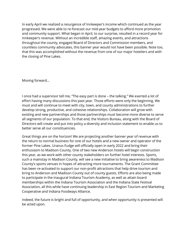In early April we realized a resurgence of Innkeeper's income which continued as the year progressed. We were able to re-forecast our mid-year budgets to afford more promotion and community support. What began in April, to our surprise, resulted in a record year for Innkeeper's revenue. Without an incredible staff, amazing events, and attractions throughout the county, engaged Board of Directors and Commission members, and countless community advocates, this banner year would not have been possible. Note too, that this was accomplished without the revenue from one of our major hoteliers and with the closing of Pine Lakes.

Moving forward…

I once had a supervisor tell me, "The easy part is done – the talking." We exerted a lot of effort having many discussions this past year. Those efforts were only the beginning. We must and will continue to meet with city, town, and county administrations to further develop strong, productive, and cohesive relationships. Collaboration will grow with existing and new partnerships and those partnerships must become more diverse to serve all segments of our population. To that end, the Visitors Bureau, along with the Board of Directors will create and put into policy a diversity and inclusion statement to enable us to better serve all our constituencies.

Great things are on the horizon! We are projecting another banner year of revenue with the return to normal business for one of our hotels and a new owner and operator of the former Pine Lakes. Uranus Fudge will officially open in early 2022 and bring their enthusiasm to Madison County. One of two new Anderson hotels will begin construction this year, as we work with other county stakeholders on further hotel interests. Sports, such a mainstay in Madison County, will see a new initiative to bring awareness to Madison County's sports venues in hopes of attracting more tournaments. The Grant Committee has been re-activated to support our non-profit attractions that help drive tourism and bring to Anderson and Madison County out of county guests. Efforts are also being made to participate in the inaugural Indiana Tourism Academy, as well as attain board memberships within the Indiana Tourism Association and the Indiana State Festival Association, all this while have continuing leadership in East Region Tourism and Marketing Cooperative and Indiana Foodways Alliance.

Indeed, the future is bright and full of opportunity, and when opportunity is presented will be acted upon.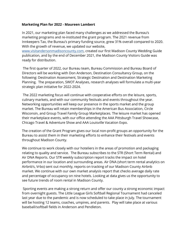## **Marketing Plan for 2022 [- Maureen Lambert](mailto:maureen@visitamcvb.com)**

In 2021, our marketing plan faced many challenges as we addressed the Bureau's marketing programs and re-instituted the grant program. The 2021 revenue from Innkeepers Tax, the Bureau's primary funding source, grew 31% overall compared to 2020. With the growth of revenue, we updated our website,

[www.visitandersonmadisoncounty.com,](http://www.visitandersonmadisoncounty.com/) created our first Madison County Wedding Guide publication, and by the end of December 2021, the Madison County Visitors Guide was ready for distribution.

The first quarter of 2022, our Bureau team, Bureau Commission and Bureau Board of Directors will be working with Don Anderson, Destination Consultancy Group, on the following: Destination Assessment, Strategic Destination and Destination Marketing Planning. The preparation, SWOT Analyses, research analyses will formulate a multi-year strategic plan initiative for 2022-2024.

The 2022 marketing focus will continue with cooperative efforts on the leisure, sports, culinary markets, and with our community festivals and events throughout the year. Networking opportunities will keep our presence in the sports market and the group market. The Bureau will retain memberships in the American Bus Association, Circle Wisconsin, and Group Travel Family Group Marketplaces. The leisure market has opened their marketplace events, with our office attending the AAA Pittsburgh Travel Showcase, Chicago Travel & Adventure Show and AAA Louisville Vacation Expo.

The creation of the Grant Program gives our local non-profit groups an opportunity for the Bureau to assist them in their marketing efforts to enhance their festivals and events throughout Madison County.

We continue to work closely with our hoteliers in the areas of promotion and packaging relating to quality and service. The Bureau subscribes to the STR (Short Term Rental) and Air DNA Reports. Our STR weekly subscription report tracks the impact on hotel performance in our location and surrounding areas. Air DNA (short term rental analytics on Airbnb's, Vrbo) sent out monthly, reports on tracking of our Madison County Airbnb market. We continue with our own market analysis report that checks average daily rate and percentage of occupancy on nine hotels. Looking at data gives us the opportunity to see future trends of room rental in Madison County.

Sporting events are making a strong return and offer our county a strong economic impact from overnight guests. The Little League Girls Softball Regional Tournament had canceled last year due to the pandemic and is now scheduled to take place in July. The tournament will be hosting 12 teams, coaches, umpires, and parents. Play will take place at various baseball/softball fields in Anderson and Pendleton.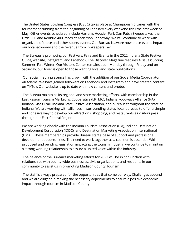The United States Bowling Congress (USBC) takes place at Championship Lanes with the tournament running from the beginning of February every weekend thru the first week of May. Other events scheduled include Harrah's Hoosier Park Dan Patch Sweepstakes, the Little 500 and Redbud 400 Races at Anderson Speedway. We will continue to work with organizers of these and other sports events. Our Bureau is aware how these events impact our local economy and the revenue from Innkeepers Tax.

The Bureau is promoting our Festivals, Fairs and Events in the 2022 Indiana State Festival Guide, website, Instagram, and Facebook. The Discover Magazine features 4 issues: Spring, Summer, Fall, Winter. Our Visitors Center remains open Monday through Friday and on Saturday, our foyer is open to those wanting local and state publications.

Our social media presence has grown with the addition of our Social Media Coordinator, Ali Adams. We have gained followers on Facebook and Instagram and have created content on TikTok. Our website is up to date with new content and photos.

The Bureau maintains its regional and state marketing efforts, with membership in the East Region Tourism Marketing Cooperative (ERTMC), Indiana Foodways Alliance (IFA), Indiana Glass Trail, Indiana State Festival Association, and bureaus throughout the state of Indiana. We are working with alliances in surrounding states' local bureaus to offer a simple and cohesive way to develop our attractions, shopping, and restaurants as visitors pass through our East-Central Region.

We are working closely with the Indiana Tourism Association (ITA), Indiana Destination Development Corporation (IDDC), and Destination Marketing Association International (DMAI). These memberships provide Bureau staff a base of support and professional development opportunities. The need to work together as a coalition is essential. With proposed and pending legislation impacting the tourism industry, we continue to maintain a strong working relationship to assure a united voice within the industry.

The balance of the Bureau's marketing efforts for 2022 will be in conjunction with relationships with county-wide businesses, civic organizations, and residents in our community to assist us in promoting Madison County Tourism

The staff is always prepared for the opportunities that come our way. Challenges abound and we are diligent in making the necessary adjustments to ensure a positive economic impact through tourism in Madison County.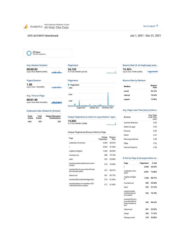Visit Anderson Madison County Analytics All Web Site Data

كاستحص

فالمنو

## Go to report 2

Jun 1, 2021 - Dec 31, 2021

#### **SITE ACTIVITY Benchmark**

All Users<br>100.00% Sessions

#### Avg. Session Duration

## 00:00:53<br>Avg for View: 00:00:53 (0.00%)

## Pages/Session

1.50 Avg for View: 1.50 (0.00%)

#### Avg. Time on Page

00:01:45 Avg for View: 00:01:45 (0.00%) Outbound Links Clicked On (Events)

| Event         | <b>Total</b>  | <b>Unique Dimension</b> |
|---------------|---------------|-------------------------|
| <b>Action</b> | <b>Events</b> | <b>Combinations</b>     |
| click         | 323           |                         |

#### Pageviews 24,133<br>% of Totak 100.00% (24,133) وأحصاها



Unique Pageviews (a return to a pg remains 1 pgvi... 19,880<br>% of Totak 100.00% (19,880)  $\mathbf{1}$ 

#### Unique Pageviews/Bounce Rate by Page

| Page                                                    | Unique<br>Pageviews | Bounce<br>Rate |
|---------------------------------------------------------|---------------------|----------------|
| /calendar-of-events/                                    | 3,503               | 84.92%         |
| I                                                       | 3.292               | 41.58%         |
| /nights-of-lights/                                      | 1,304               | 88.98%         |
| /contact-us/                                            | 483                 | 75.15%         |
| /eat/                                                   | 325                 | 65.88%         |
| /event-location/dickmann-town-<br>center/               | 274                 | 76.00%         |
| /events/fire-it-up-on-the-4th-harr<br>ahs-hoosier-park/ | 272                 | 89.67%         |
| /about-us/                                              | 261                 | 83.72%         |
| /events/fall-creek-heritage-fair/                       | 219                 | 81.69%         |
| /events/jeeps-on-meridian-202<br>1-dickman-town-center/ | 217                 | 81.86%         |

#### Bounce Rate (% of single-page sess... 74.90% Avg for View: 74.90% (0.00%)

#### Bounce Rate by Medium

| Medium                  | <b>Bounce</b><br>Rate |
|-------------------------|-----------------------|
| social                  | 94.74%                |
| referral<br>00603012970 | 78.54%                |
| organic                 | 73.89%                |

#### Avg. Page Load Time (sec) by Brow...

| Browser           | Avg. Page<br><b>Load Time</b><br>(sec) |
|-------------------|----------------------------------------|
| Android Webview   | 5.85                                   |
| Safari (in-app)   | 5.23                                   |
| Chrome            | 4.93                                   |
| Safari            | 4.47                                   |
| Samsung Internet  | 3.39                                   |
| Edge              | 3.22                                   |
| Internet Explorer | 2.56                                   |

#### % Exit by Page (Last page before ex...

| Page                                                            | Pageviews % Exit |              |
|-----------------------------------------------------------------|------------------|--------------|
| $\mathcal{I}$                                                   |                  | 4.560 46.05% |
| /calendar-of-ev<br>ents/                                        | 4,091            | 75.80%       |
| /nights-of-light<br>sI                                          |                  | 1,446 88.31% |
| /contact-us/                                                    | 569              | 59,40%       |
| /eat/                                                           |                  | 532 37.22%   |
| /event-locatio<br>n/dickmann-to<br>wn-center/                   |                  | 332 70.78%   |
| /events/fire-it-u<br>p-on-the-4th-ha<br>rrahs-hoosier-p<br>ark/ |                  | 303 88 45%   |
| /about-us/                                                      | 301              | 52.82%       |
| /blog/                                                          |                  | 284 17.25%   |
| /things-to-do/                                                  | 278              | 33.09%       |

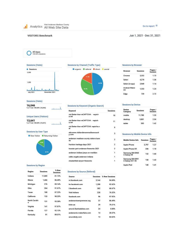#### Go to report 2

#### **VISITORS Benchmark**

#### Jun 1, 2021 - Dec 31, 2021

All Users<br>100.00% Sessions

Sessions (Visits)



#### Sessions (Visits)

# 16,046<br>% of Total: 100.00% (16,046)

#### **Unique Users (Visitors)**

|  | 13,641 |                             |  |
|--|--------|-----------------------------|--|
|  |        | % of Total: 100.00% (13,64) |  |

1)

#### Sessions by User Type

New Visitor **Returning Visitor** 



#### Sessions by Region

| Region             | <b>Sessions</b> | % New<br>Sessions |
|--------------------|-----------------|-------------------|
| Indiana            | 11,069          | 81.72%            |
| Illinois           | 1,466           | 86 49%            |
| Michigan           | 276             | 85.14%            |
| Ohio               | 264             | 91.67%            |
| Texas              | 188             | 87.23%            |
| California         | 153             | 90.20%            |
| North Carolin<br>a | 151             | 93.38%            |
| Virginia           | 141             | 97.87%            |
| Florida            | 127             | 92.13%            |
| Kentucky           | 91              | 89.01%            |



#### Sessions by Keyword (Organic Search)

| Keyword                                     | <b>Sessions</b> |
|---------------------------------------------|-----------------|
| visi Better than reCAPTCHA: vaptch<br>a.net | 18              |
| visi Better than reCAPTCHA: vaptch<br>a net | 11              |
| visi Better than reCAPTCHA: vaptcha.n<br>et | 9               |
| site:www.visitandersonmadisoncount<br>y.com | 5               |
| anderson madison county visitors bure<br>au | $\overline{2}$  |
| frankton heritage days 2021                 | $\overline{2}$  |
| hoosier park anderson fireworks 2021        | $\overline{2}$  |
| anderson indiana jeeps on meridian          | $\overline{1}$  |
| celtic angels anderson indiana              | $\mathbf{1}$    |
| chesterfield airport fireworks              | -1              |

#### Sessions by Source (Referral)

| Source                    |       | <b>Sessions % New Sessions</b> |
|---------------------------|-------|--------------------------------|
| m.facebook.com            | 3.144 | 94.69%                         |
| Im facebook com           | 1.288 | 92.62%                         |
| I facebook.com            | 382   | 60.47%                         |
| Visit Indiana             | 228   | 76.32%                         |
| facebook.com              | 96    | 97.92%                         |
| andersontownpowwow.org    | 37    | 86 49%                         |
| linktr.ee                 | 29    | 79.31%                         |
| amcvb.flywheelsites.com   | 24    | 0.00%                          |
| andersonin makerfaire.com | 14    | 28.57%                         |
| aroundindy.com            | 13    | 84.62%                         |

#### **Sessions by Browser**

| <b>Browser</b>      | Sessions | Pages /<br>Session |
|---------------------|----------|--------------------|
| Chrome              | 5.552    | 1.73               |
| Safari              | 4,278    | 1.36               |
| Safari (in-app)     | 2,949    | 1.14               |
| Android Webvi<br>ew | 1,553    | 1.24               |
| Ede                 | 739      | 272                |

#### **Sessions by Device**

5

 $\mathbf{2}% ^{2}/\mathbf{2}$  $\overline{\mathbf{2}}$  $\overline{2}$ 

| Device<br>Category | <b>Sessions</b> | Pages /<br>Session |
|--------------------|-----------------|--------------------|
| mobile             | 11,780          | 1.33               |
| desktop            | 3,881           | 2.04               |
| tablet             | 385             | 1.42               |

#### Sessions by Mobile Device Info

| <b>Mobile Device Info</b>          | <b>Sessions</b> | Pages /<br>Session |
|------------------------------------|-----------------|--------------------|
| Apple iPhone                       | 5.797           | 1.27               |
| Apple iPhone XR                    | 356             | 1.10               |
| Samsung SM-G960<br>U Galaxy S9     | 152             | 1.60               |
| Samsung SM-G991<br>U Galaxy S21 5G | 150             | 1.43               |
| Apple iPad                         | 1.ለበ            |                    |

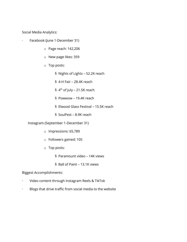Social Media Analytics:

- Facebook (June 1-December 31)
	- o Page reach: 142,206
	- o New page likes: 359
	- o Top posts:
		- § Nights of Lights 52.2K reach
		- § 4-H Fair 28.4K reach
		- §  $4^{\text{th}}$  of July 21.5K reach
		- § Powwow 19.4K reach
		- § Elwood Glass Festival 15.5K reach
		- § SoulFest 8.9K reach

Instagram (September 1-December 31)

- o Impressions: 65,789
- o Followers gained: 105
- o Top posts:
	- § Paramount video 14K views
	- § Ball of Paint 13.1K views

## Biggest Accomplishments:

- · Video content through Instagram Reels & TikTok
- · Blogs that drive traffic from social media to the website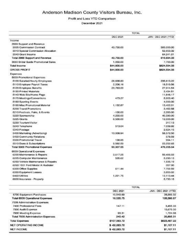## Anderson Madison County Visitors Bureau, Inc.

## Profit and Loss YTD Comparison

### December 2021

|                                     | <b>TOTAL</b> |                      |  |
|-------------------------------------|--------------|----------------------|--|
|                                     | DEC 2021     | JAN - DEC 2021 (YTD) |  |
| Income                              |              |                      |  |
| 2999 Support and Revenue            |              |                      |  |
| 3005 Commission Contract            | 43,750.00    | 500,000.00           |  |
| 3010 Special Commission Allocation  |              | 52,653.32            |  |
| 3040 Grant Income                   |              | 64.241.01            |  |
| Total 2999 Support and Revenue      | 43,750.00    | 616,894.33           |  |
| 3060 Bridal Guide Promotional Sales | 1.050.00     | 7,700.00             |  |
| <b>Total Income</b>                 | \$44,800.00  | \$624,594.33         |  |
| <b>GROSS PROFIT</b>                 | \$44,800.00  | \$624,594.33         |  |
| Expenses                            |              |                      |  |
| 5009 Promotional Expenses           |              |                      |  |
| 5100 Salaried/Hourly Employees      | 28.838.83    | 235,613.22           |  |
| 5110 Employer Payroll Taxes         | 2,206.16     | 18,519.56            |  |
| 5120 Employee Benefits              | 23,763.00    | 27.914.54            |  |
| 5130 Printed Materials              |              | 2.434.51             |  |
| 5140 Web Site/Home Page             |              | 11,646.17            |  |
| 5170 Meetings/Conventions           | 473.27       | 5,903.40             |  |
| 5180 Sporting Events                |              | 4,000.00             |  |
| 5190 Misc Promotional Material      | 1,132.87     | 13,402.01            |  |
| 5200 Travel Promotions              |              | 3,452.58             |  |
| 5210 Festivals, Fairs, & Events     | $-100.00$    | 2,350.00             |  |
| 5220 Sponsorship                    | 4.250.00     | 45,590.00            |  |
| 5225 Grants                         | 6,500.00     | 12,000.00            |  |
| 5230 Tourism/Visitor                |              | 317.13               |  |
| 5240 Telephone                      | 513.04       | 7,039.92             |  |
| 5340 Postage                        |              | 2,624.15             |  |
| 5400 Marketing (Advertising)        | 13,008,94    | 58,572.50            |  |
| 5450 Community Relations            |              | 578.59               |  |
| 5500 Promotional Travel             | 138.85       | 994.11               |  |
| 5510 Dues & Subscriptions           | 9.582.59     | 23.252.65            |  |
| Total 5009 Promotional Expenses     | 90.307.55    | 476,205.04           |  |
| 6009 Operational Expenses           |              |                      |  |
| 6200 Maintenance & Repairs          | 3.617.25     | 59,406.03            |  |
| 6225 Computer Maintenance           | 535.62       | 5,290.13             |  |
| 6250 Vehicle Maintenance & Repairs  |              | 1,935.19             |  |
| 6260 1931 Ford Model A Huckster     |              | 357.00               |  |
| 6300 Office Supplies                | 611.44       | 7,702.59             |  |
| 6350 Equipment Leases               |              | 3,853.02             |  |
| 6460 Utilities                      | 1.221.75     | 13.113.44            |  |
| 6600 Insurance - Property           |              | 5.730.15             |  |

|                                    | <b>IOTAL</b>   |                      |  |
|------------------------------------|----------------|----------------------|--|
|                                    | DEC 2021       | JAN - DEC 2021 (YTD) |  |
| 6700 Equipment Purchases           | 10,549.69      | 28,999.32            |  |
| Total 6009 Operational Expenses    | 16,535.75      | 126,386.87           |  |
| 7009 Administration Expenses       |                |                      |  |
| 7400 Professional Fees             | 147.11         | 3,495.33             |  |
| 7500 Audit Expense                 |                | 15,675.00            |  |
| 7600 Meeting Expense               | 93.31          | 1,724.98             |  |
| Total 7009 Administration Expenses | 240.42         | 20,895.31            |  |
| <b>Total Expenses</b>              | \$107,083.72   | \$623,487.22         |  |
| NET OPERATING INCOME               | $$ -62,283,72$ | \$1,107.11           |  |
| <b>NET INCOME</b>                  | $$ -62,283,72$ | \$1,107.11           |  |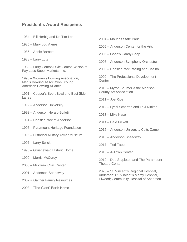## **President's Award Recipients**

| 1984 – Bill Herbig and Dr. Tim Lee |  |  |  |  |  |  |  |
|------------------------------------|--|--|--|--|--|--|--|
|------------------------------------|--|--|--|--|--|--|--|

1985 – Mary Lou Aynes

- 1986 Annie Barnett
- 1988 Larry Lutz

1989 – Larry Contos/Dixie Contos-Wilson of Pay Less Super Markets, Inc.

1990 – Women's Bowling Association, Men's Bowling Association, Young American Bowling Alliance

1991 – Cooper's Sport Bowl and East Side Lanes

- 1992 Anderson University
- 1993 Anderson Herald-Bulletin

1994 – Hoosier Park at Anderson

- 1995 Paramount Heritage Foundation
- 1996 Historical Military Armor Museum
- 1997 Larry Swick
- 1998 Gruenewald Historic Home
- 1999 Morris McCurdy
- 2000 Millcreek Civic Center
- 2001 Anderson Speedway
- 2002 = Gaither Family Resources
- 2003 "The Giant" Earth Home
- 2004 Mounds State Park
- 2005 Anderson Center for the Arts
- 2006 Good's Candy Shop
- 2007 Anderson Symphony Orchestra
- 2008 Hoosier Park Racing and Casino

2009 – The Professional Development **Center** 

2010 – Myron Baumer & the Madison County Art Association

2011 – Joe Rice

- 2012 Lynzi Scharton and Levi Rinker
- 2013 Mike Kase
- 2014 Dale Pickett
- 2015 Anderson University Colts Camp
- 2016 Anderson Speedway
- 2017 Ted Tapp
- 2018 A-Town Center

2019 – Deb Stapleton and The Paramount Theatre Center

2020 – St. Vincent's Regional Hospital, Anderson; St. Vincent's Mercy Hospital, Elwood; Community Hospital of Anderson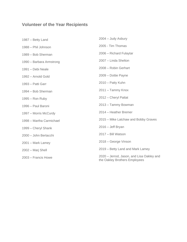## **Volunteer of the Year Recipients**

| 1987 – Betty Land        | 2004 - Judy Asbury                                                         |
|--------------------------|----------------------------------------------------------------------------|
| 1988 - Phil Johnson      | 2005 - Tim Thomas                                                          |
| 1989 - Bob Sherman       | 2006 - Richard Fulaytar                                                    |
| 1990 - Barbara Armstrong | 2007 - Linda Shelton                                                       |
| 1991 - Debi Neale        | 2008 - Robin Gerhart                                                       |
| 1992 – Arnold Gold       | 2009 - Dottie Payne                                                        |
| 1993 - Patti Garr        | 2010 - Patty Kuhn                                                          |
| 1994 - Bob Sherman       | 2011 - Tammy Knox                                                          |
| $1995 -$ Ron Ruby        | 2012 - Cheryl Pattat                                                       |
| 1996 – Paul Baroni       | 2013 - Tammy Bowman                                                        |
| 1997 – Morris McCurdy    | 2014 - Heather Bremer                                                      |
| 1998 - Martha Carmichael | 2015 – Mike Latchaw and Bobby Graves                                       |
| 1999 - Cheryl Shank      | $2016 - Jeff Bryan$                                                        |
| 2000 - John Bertacchi    | 2017 - Bill Watson                                                         |
| 2001 - Mark Lamey        | 2018 – George Vinson                                                       |
| 2002 - Marj Shell        | 2019 – Betty Land and Mark Lamey                                           |
| 2003 - Francis Howe      | 2020 - Jerrod, Jason, and Lisa Oakley and<br>the Oakley Brothers Employees |